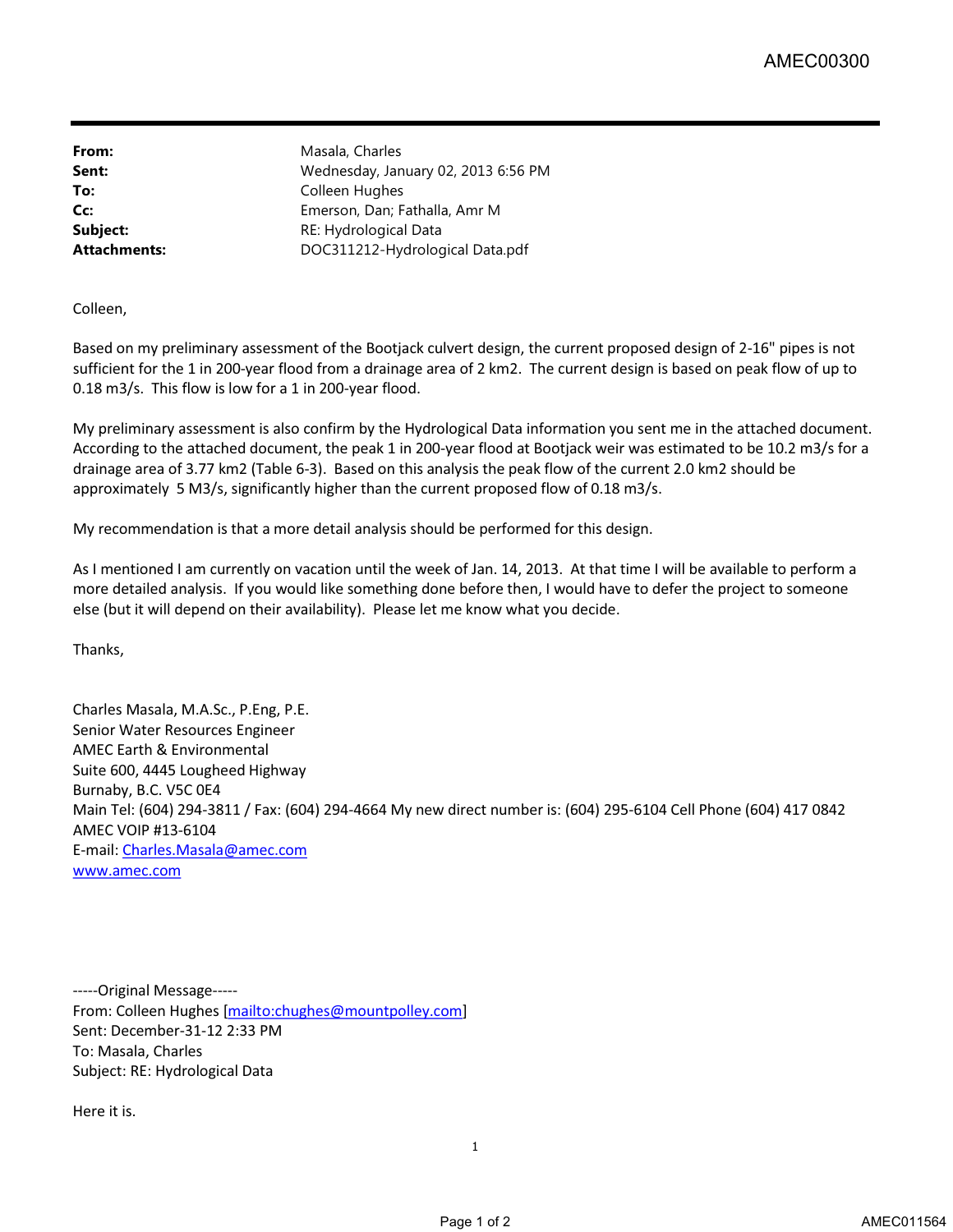From: Masala, Charles

**Sent:** Wednesday, January 02, 2013 6:56 PM To: Colleen Hughes **Cc:** Emerson, Dan; Fathalla, Amr M **Subject:** RE: Hydrological Data **Attachments:** DOC311212-Hydrological Data.pdf

Colleen,

Based on my preliminary assessment of the Bootjack culvert design, the current proposed design of 2-16" pipes is not sufficient for the 1 in 200-year flood from a drainage area of 2 km2. The current design is based on peak flow of up to 0.18 m3/s. This flow is low for a 1 in 200-year flood.

My preliminary assessment is also confirm by the Hydrological Data information you sent me in the attached document. According to the attached document, the peak 1 in 200-year flood at Bootjack weir was estimated to be 10.2 m3/s for a drainage area of 3.77 km2 (Table 6-3). Based on this analysis the peak flow of the current 2.0 km2 should be approximately 5 M3/s, significantly higher than the current proposed flow of 0.18 m3/s.

My recommendation is that a more detail analysis should be performed for this design.

As I mentioned I am currently on vacation until the week of Jan. 14, 2013. At that time I will be available to perform a more detailed analysis. If you would like something done before then, I would have to defer the project to someone else (but it will depend on their availability). Please let me know what you decide.

Thanks,

Charles Masala, M.A.Sc., P.Eng, P.E. Senior Water Resources Engineer AMEC Earth & Environmental Suite 600, 4445 Lougheed Highway Burnaby, B.C. V5C 0E4 Main Tel: (604) 294-3811 / Fax: (604) 294-4664 My new direct number is: (604) 295-6104 Cell Phone (604) 417 0842 AMEC VOIP #13-6104 E-mail: Charles.Masala@amec.com [www.amec.com](http://www.amec.com)

-----Original Message----- From: Colleen Hughes [mailto:chughes@mountpolley.com] Sent: December-31-12 2:33 PM To: Masala, Charles Subject: RE: Hydrological Data

Here it is.

1